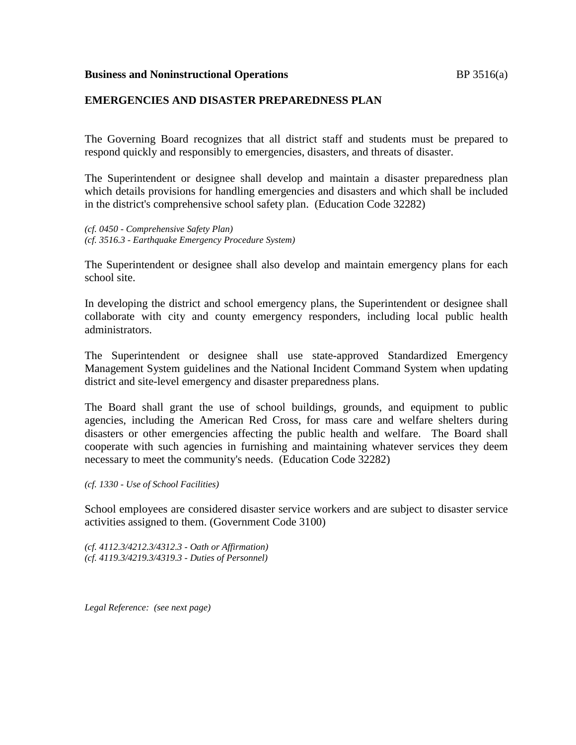#### **Business and Noninstructional Operations BP** 3516(a)

### **EMERGENCIES AND DISASTER PREPAREDNESS PLAN**

The Governing Board recognizes that all district staff and students must be prepared to respond quickly and responsibly to emergencies, disasters, and threats of disaster.

The Superintendent or designee shall develop and maintain a disaster preparedness plan which details provisions for handling emergencies and disasters and which shall be included in the district's comprehensive school safety plan. (Education Code 32282)

*(cf. 0450 - Comprehensive Safety Plan) (cf. 3516.3 - Earthquake Emergency Procedure System)*

The Superintendent or designee shall also develop and maintain emergency plans for each school site.

In developing the district and school emergency plans, the Superintendent or designee shall collaborate with city and county emergency responders, including local public health administrators.

The Superintendent or designee shall use state-approved Standardized Emergency Management System guidelines and the National Incident Command System when updating district and site-level emergency and disaster preparedness plans.

The Board shall grant the use of school buildings, grounds, and equipment to public agencies, including the American Red Cross, for mass care and welfare shelters during disasters or other emergencies affecting the public health and welfare. The Board shall cooperate with such agencies in furnishing and maintaining whatever services they deem necessary to meet the community's needs. (Education Code 32282)

*(cf. 1330 - Use of School Facilities)*

School employees are considered disaster service workers and are subject to disaster service activities assigned to them. (Government Code 3100)

*(cf. 4112.3/4212.3/4312.3 - Oath or Affirmation) (cf. 4119.3/4219.3/4319.3 - Duties of Personnel)*

*Legal Reference: (see next page)*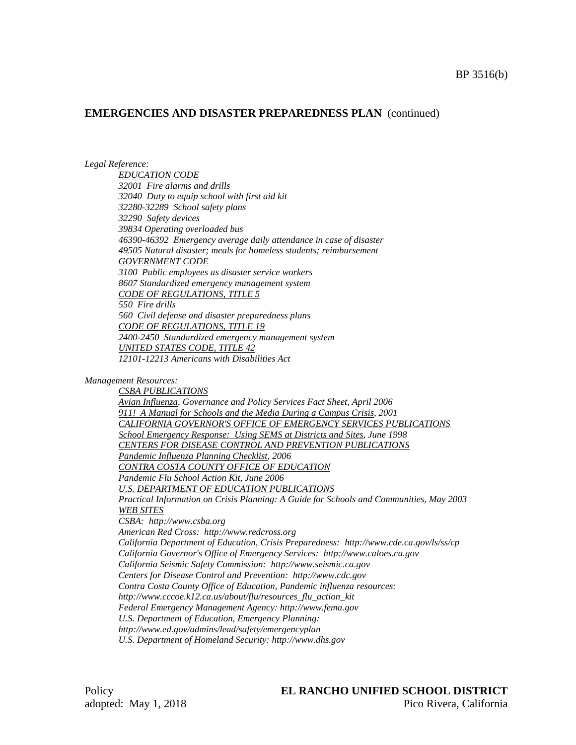### **EMERGENCIES AND DISASTER PREPAREDNESS PLAN** (continued)

*Legal Reference:*

*EDUCATION CODE 32001 Fire alarms and drills 32040 Duty to equip school with first aid kit 32280-32289 School safety plans 32290 Safety devices 39834 Operating overloaded bus 46390-46392 Emergency average daily attendance in case of disaster 49505 Natural disaster; meals for homeless students; reimbursement GOVERNMENT CODE 3100 Public employees as disaster service workers 8607 Standardized emergency management system CODE OF REGULATIONS, TITLE 5 550 Fire drills 560 Civil defense and disaster preparedness plans CODE OF REGULATIONS, TITLE 19 2400-2450 Standardized emergency management system UNITED STATES CODE, TITLE 42 12101-12213 Americans with Disabilities Act*

*Management Resources:*

*CSBA PUBLICATIONS Avian Influenza, Governance and Policy Services Fact Sheet, April 2006 911! A Manual for Schools and the Media During a Campus Crisis, 2001 CALIFORNIA GOVERNOR'S OFFICE OF EMERGENCY SERVICES PUBLICATIONS School Emergency Response: Using SEMS at Districts and Sites, June 1998 CENTERS FOR DISEASE CONTROL AND PREVENTION PUBLICATIONS Pandemic Influenza Planning Checklist, 2006 CONTRA COSTA COUNTY OFFICE OF EDUCATION Pandemic Flu School Action Kit, June 2006 U.S. DEPARTMENT OF EDUCATION PUBLICATIONS Practical Information on Crisis Planning: A Guide for Schools and Communities, May 2003 WEB SITES CSBA: http://www.csba.org American Red Cross: http://www.redcross.org California Department of Education, Crisis Preparedness: http://www.cde.ca.gov/ls/ss/cp California Governor's Office of Emergency Services: http://www.caloes.ca.gov California Seismic Safety Commission: http://www.seismic.ca.gov Centers for Disease Control and Prevention: http://www.cdc.gov Contra Costa County Office of Education, Pandemic influenza resources: http://www.cccoe.k12.ca.us/about/flu/resources\_flu\_action\_kit Federal Emergency Management Agency: http://www.fema.gov U.S. Department of Education, Emergency Planning: http://www.ed.gov/admins/lead/safety/emergencyplan U.S. Department of Homeland Security: http://www.dhs.gov*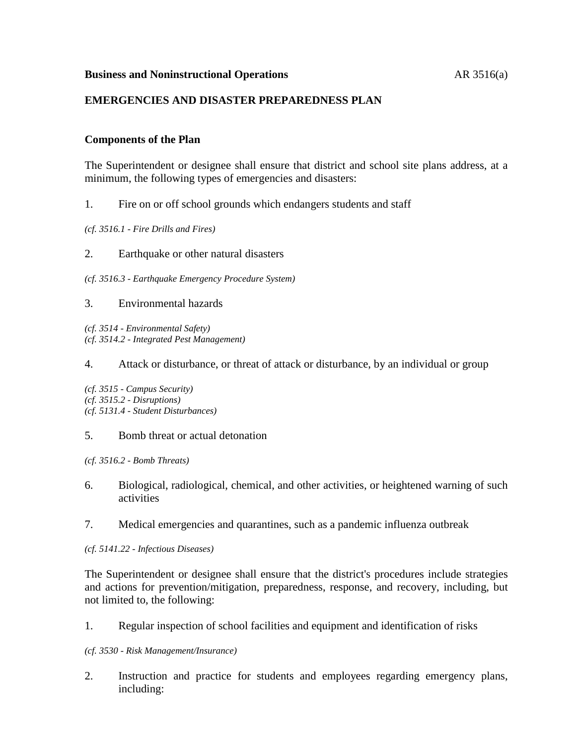### **Business and Noninstructional Operations** AR 3516(a)

### **EMERGENCIES AND DISASTER PREPAREDNESS PLAN**

### **Components of the Plan**

The Superintendent or designee shall ensure that district and school site plans address, at a minimum, the following types of emergencies and disasters:

- 1. Fire on or off school grounds which endangers students and staff
- *(cf. 3516.1 - Fire Drills and Fires)*
- 2. Earthquake or other natural disasters
- *(cf. 3516.3 - Earthquake Emergency Procedure System)*
- 3. Environmental hazards

*(cf. 3514 - Environmental Safety) (cf. 3514.2 - Integrated Pest Management)*

### 4. Attack or disturbance, or threat of attack or disturbance, by an individual or group

*(cf. 3515 - Campus Security) (cf. 3515.2 - Disruptions) (cf. 5131.4 - Student Disturbances)*

#### 5. Bomb threat or actual detonation

*(cf. 3516.2 - Bomb Threats)*

- 6. Biological, radiological, chemical, and other activities, or heightened warning of such activities
- 7. Medical emergencies and quarantines, such as a pandemic influenza outbreak
- *(cf. 5141.22 - Infectious Diseases)*

The Superintendent or designee shall ensure that the district's procedures include strategies and actions for prevention/mitigation, preparedness, response, and recovery, including, but not limited to, the following:

1. Regular inspection of school facilities and equipment and identification of risks

#### *(cf. 3530 - Risk Management/Insurance)*

2. Instruction and practice for students and employees regarding emergency plans, including: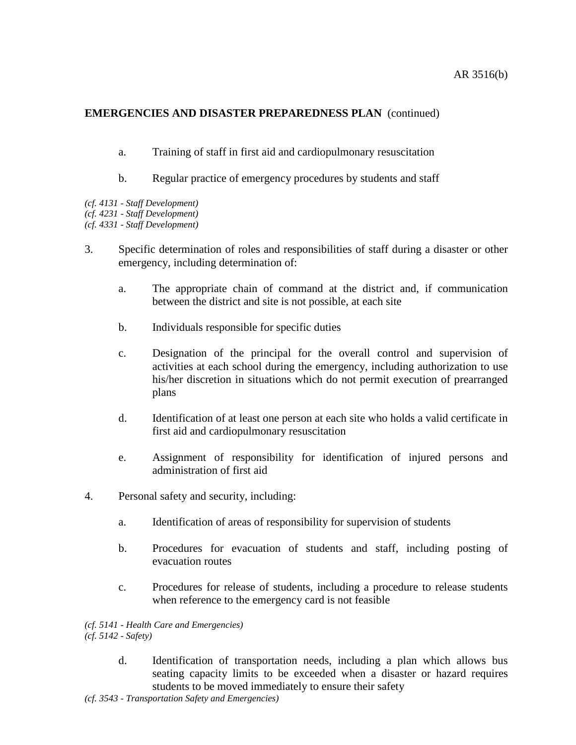# **EMERGENCIES AND DISASTER PREPAREDNESS PLAN** (continued)

- a. Training of staff in first aid and cardiopulmonary resuscitation
- b. Regular practice of emergency procedures by students and staff
- *(cf. 4131 - Staff Development)*
- *(cf. 4231 - Staff Development)*
- *(cf. 4331 - Staff Development)*
- 3. Specific determination of roles and responsibilities of staff during a disaster or other emergency, including determination of:
	- a. The appropriate chain of command at the district and, if communication between the district and site is not possible, at each site
	- b. Individuals responsible for specific duties
	- c. Designation of the principal for the overall control and supervision of activities at each school during the emergency, including authorization to use his/her discretion in situations which do not permit execution of prearranged plans
	- d. Identification of at least one person at each site who holds a valid certificate in first aid and cardiopulmonary resuscitation
	- e. Assignment of responsibility for identification of injured persons and administration of first aid
- 4. Personal safety and security, including:
	- a. Identification of areas of responsibility for supervision of students
	- b. Procedures for evacuation of students and staff, including posting of evacuation routes
	- c. Procedures for release of students, including a procedure to release students when reference to the emergency card is not feasible

*(cf. 5141 - Health Care and Emergencies)*

*(cf. 5142 - Safety)*

d. Identification of transportation needs, including a plan which allows bus seating capacity limits to be exceeded when a disaster or hazard requires students to be moved immediately to ensure their safety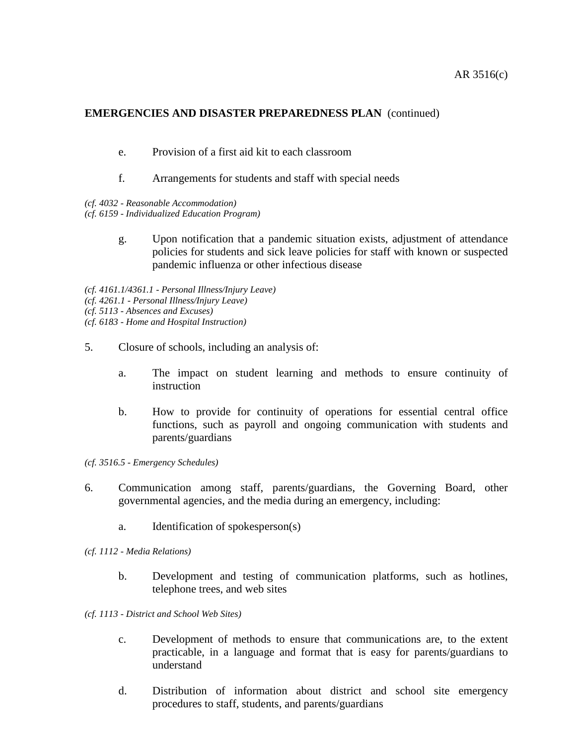### AR 3516(c)

# **EMERGENCIES AND DISASTER PREPAREDNESS PLAN** (continued)

- e. Provision of a first aid kit to each classroom
- f. Arrangements for students and staff with special needs
- *(cf. 4032 - Reasonable Accommodation)*
- *(cf. 6159 - Individualized Education Program)*
	- g. Upon notification that a pandemic situation exists, adjustment of attendance policies for students and sick leave policies for staff with known or suspected pandemic influenza or other infectious disease
- *(cf. 4161.1/4361.1 - Personal Illness/Injury Leave)*
- *(cf. 4261.1 - Personal Illness/Injury Leave)*
- *(cf. 5113 - Absences and Excuses)*
- *(cf. 6183 - Home and Hospital Instruction)*
- 5. Closure of schools, including an analysis of:
	- a. The impact on student learning and methods to ensure continuity of instruction
	- b. How to provide for continuity of operations for essential central office functions, such as payroll and ongoing communication with students and parents/guardians
- *(cf. 3516.5 - Emergency Schedules)*
- 6. Communication among staff, parents/guardians, the Governing Board, other governmental agencies, and the media during an emergency, including:
	- a. Identification of spokesperson(s)
- *(cf. 1112 - Media Relations)*
	- b. Development and testing of communication platforms, such as hotlines, telephone trees, and web sites
- *(cf. 1113 - District and School Web Sites)*
	- c. Development of methods to ensure that communications are, to the extent practicable, in a language and format that is easy for parents/guardians to understand
	- d. Distribution of information about district and school site emergency procedures to staff, students, and parents/guardians